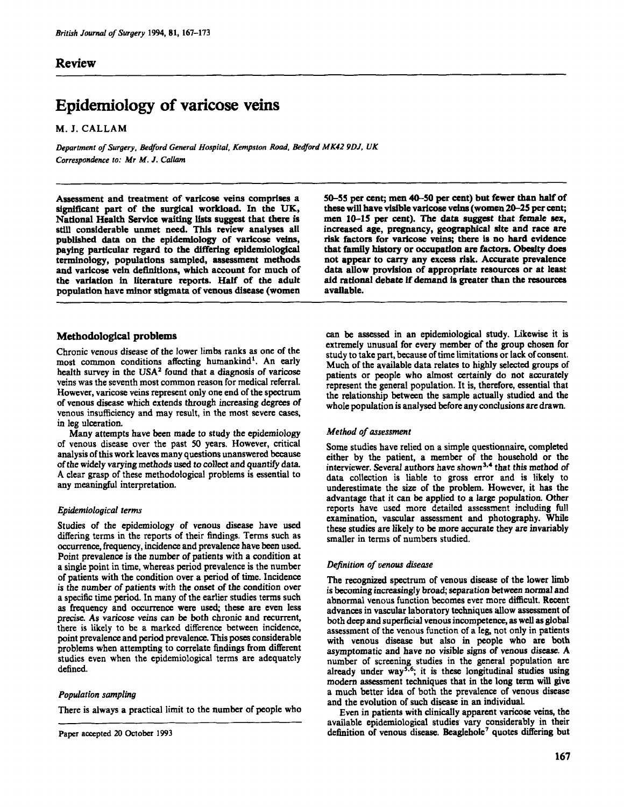# **Epidemiology of varicose veins**

M. **J.** CALLAM

*Department of Surgery, Bedford General Hospital. Kernpston Rood. Bedford MK42 903, UK Correspondence to: Mr M. J. Callam* 

Assessment and treatment of varicose veins comprises a significant part of the surgical workload. In the **UK,**  National Health **Service** waiting lists suggest that there **is**  stlll considerable unmet need. **This** review analyses all published data **on** the epidemiology of varicose veins, paying particular regard to the differing epidemiological terminology, populations sampled, assessment methods and varicose vein definitions, which account for much of the variation in literature reports. *Half* **of** the adult population have **minor** stigmata of venous disease (women

**Methodological problems** 

Chronic venous disease of the lower limbs ranks as one of the most **common** conditions affecting humankind'. An early health survey in the USA<sup>2</sup> found that a diagnosis of varicose veins was the seventh most common reason for medical referral. However, varicose veins represent only one end of the spectrum of venous disease which extends through increasing degrees of venous insufficiency and may result, in the most severe cases, in leg ulceration.

Many attempts have been made to study the epidemiology of venous disease over the past **50** years. However, critical analysis of this work leaves many questions unanswered because of the widely varying methods used *to* collect and quantify data. A clear grasp of these methodological problems is essential to any meaningful interpretation.

# *Epidemiological terms*

Studies of the epidemiology of venous disease have used differing terms in the reports of their findings. Terms such as occurrence, frequency, incidence and prevalence have been used. Point prevalence is the number of patients with a condition at a single point in time, whereas period prevalence is the number of patients with the condition over a period of time. Incidence is the number of patients with the onset of the condition over a specific time period. In many of the earlier studies terms such **as** frequency and **occurrence** were **used;** these are even less precise. **As** varicose veins can be both chronic and **recurrent,**  there is likely to be a marked difference between incidence, point prevalence and period prevalence. **This poses** considerable problems when attempting to correlate findings from different studies even when the epidemiological terms are adequately defined.

# *Population sampling*

There is always a practical limit to the **number** of people who

**Paper accepted 20 October 1993** 

**50-55** per **cent;** men **40-50** per cent) but fewer than half of **these** will have visible varicose veins (women **20-25** per **cent;**  men **10-15** per **cent).** The **data suggest** *that* female **sex,**  increased age, pregnancy, geographical site and race are **risk** factors for varicose veins; there is **no** hard evidence that family history or occupation **are** factors. **Obesity does**  not appear **to** *carry* any excess risk. Accurate prevalence data allow provision of appropriate resources or at least aid **rational** debate if demand is greater than the resource8 available.

*can* be assessed in an epidemiological study. Likewise it **is**  extremely unusual for every member of the group chosen for study to take part, because of time limitations or lack of consent. Much of the available data relates to highly selected **groups** of patients **or** people who almost certainly do not accurately represent the general population. It *is,* therefore, essential that the relationship between the sample actually studied and the whole population is analysed before any conclusions are drawn.

## *Method of assessment*

Some studies have relied **on** a simple questionnaire, completed either by the patient, a member of the household or the interviewer. Several authors have shown<sup>3,4</sup> that this method of data collection is liable to **gross** error and is likely to underestimate the **size** of the problem. However, it has the advantage that it can be applied to a large population. Other reports have used more detailed assessment including full examination, vascular assessment and photography. While these studies are likely **to** be more accurate they are invariably smaller in terms of numbers studied.

# *Definition of venous disease*

The **recognized** spectrum of venous disease of the lower limb is becoming increasingly broad; separation between normal and abnormal venous function becomes ever more difficult. Recent advances in vascular laboratory techniques allow assessment of both deep and superficial venous incompetence, **as** well **as global**  assessment of the venous function of a leg, not only in patients with venous disease but also in people who are both asymptomatic and have no visible **signs** of venous **disease.** A number of screening studies in the general population are already under way<sup>5,6</sup>; it is these longitudinal studies using modern assessment techniques that in the long term will give a much better idea of both the prevalence of venous disease and the evolution of such disease in **an** individual.

Even in patients with clinically apparent varicose veins, the available epidemiological studies vary considerably in their definition of venous disease. Beaglehole' **quotes** differing but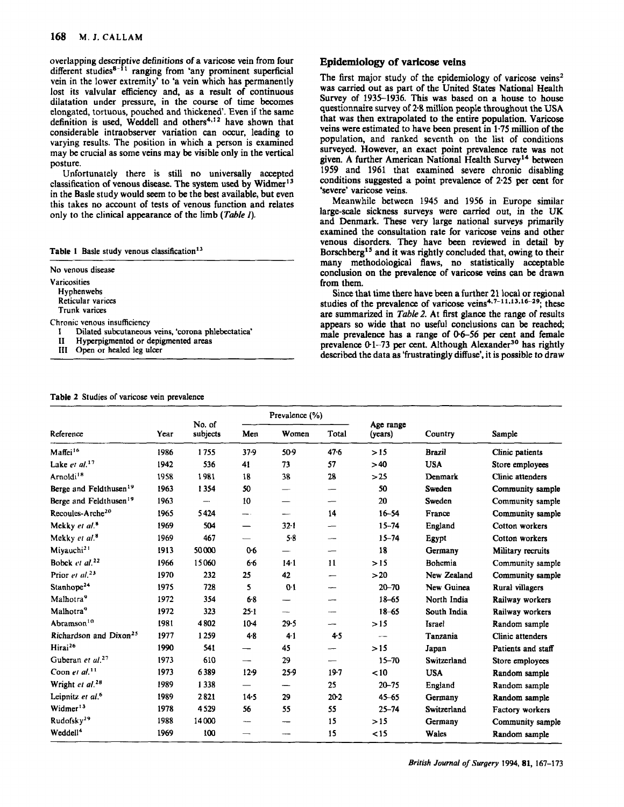overlapping descriptive definitions of a varicose vein from four different studies<sup>8-11</sup> ranging from 'any prominent superficial vein in the lower extremity' to 'a vein which has permanently lost its valvular efficiency and, **as** a result of continuous dilatation under pressure, in the course of time becomes elongated, tortuous, pouched and thickened'. Even if the same definition is used, Weddell and others<sup>4,12</sup> have shown that considerable intraobserver variation can **occur,** leading to varying results. The position in which a person is examined may be crucial **as** some veins may be visible only in the vertical posture.

Unfortunately there is still no universally accepted classification of venous disease. The system used by Widmer<sup>13</sup> in the Basle study would seem to be the best available, but even this takes no account of tests of venous function and relates only to the clinical appearance of the limb *(Table* I).

Table 1 Basle study venous classification<sup>13</sup>

**No** venous disease Varicosities Hyphenwehs Reticular varices Trunk varices I Dilated subcutaneous veins, 'corona phlebectatica' Chronic venous insufficiency

**I1** Hyperpigmented or depigmented areas

**111** Open or healed leg ulcer

#### **Table 2** Studies of varicose vein prevalence

# **Epidemiology of varicose veins**

The first major study of the epidemiology of varicose veins<sup>2</sup> was carried out as part of the United States National Health Survey of **1935-1936.** This was based on a house to house questionnaire survey of **2.8** million people throughout the **USA**  that was then extrapolated to the entire population. Varicose veins were estimated to have been present in **1.75** million of the population, and ranked seventh on the list of conditions surveyed. However, an exact point prevalence rate was not given. A further American National Health Survey<sup>14</sup> between **1959** and **1961** that examined severe chronic disabling conditions suggested a point prevalence of **2.25** per cent for 'severe' varicose veins.

Meanwhile between **1945** and **1956** in Europe similar large-scale sickness surveys were carried out, in the UK and Denmark. These very large national surveys primarily examined the consultation rate for varicose veins and other venous disorders. They have been reviewed in detail by Borschberg<sup>15</sup> and it was rightly concluded that, owing to their many methodological flaws, no statistically acceptable conclusion on the prevalence of varicose veins can be drawn from them.

Since that time there have been a further **21** local or regional studies of the prevalence of varicose veins<sup>4,7-11,13,16-29</sup>; these are summarized in *Table2.* At first glance the range of results appears so wide that no useful conclusions can be reached; male prevalence has a range of 0-6-56 per cent and female prevalence **0-1-73 per** cent. Although Alexander3' has rightly described the data **as** 'frustratingly diffuse', it is possible to draw

|                                    |      |                    | Prevalence (%)           |                          |                          |                      |               |                    |
|------------------------------------|------|--------------------|--------------------------|--------------------------|--------------------------|----------------------|---------------|--------------------|
| Reference                          | Year | No. of<br>subjects | Men                      | Women                    | Total                    | Age range<br>(years) | Country       | Sample             |
| Maffei <sup>16</sup>               | 1986 | 1755               | 37.9                     | 50-9                     | 47.6                     | >15                  | <b>Brazil</b> | Clinic patients    |
| Lake et al. <sup>17</sup>          | 1942 | 536                | 41                       | 73                       | 57                       | >40                  | <b>USA</b>    | Store employees    |
| Arnoldi <sup>18</sup>              | 1958 | 1981               | 18                       | 38                       | 28                       | >25                  | Denmark       | Clinic attenders   |
| Berge and Feldthusen <sup>19</sup> | 1963 | 1354               | 50                       | $\overline{\phantom{0}}$ | -                        | 50                   | Sweden        | Community sample   |
| Berge and Feldthusen <sup>19</sup> | 1963 | —                  | 10                       |                          |                          | 20                   | Sweden        | Community sample   |
| Recoules-Arche <sup>20</sup>       | 1965 | 5424               | — .                      | ----                     | 14                       | $16 - 54$            | France        | Community sample   |
| Mekky et al. <sup>8</sup>          | 1969 | 504                | —                        | $32 - 1$                 | --                       | $15 - 74$            | England       | Cotton workers     |
| Mekky et al. <sup>8</sup>          | 1969 | 467                |                          | 5.8                      |                          | $15 - 74$            | Egypt         | Cotton workers     |
| Miyauchi <sup>21</sup>             | 1913 | 50000              | 0.6                      | $\overline{\phantom{0}}$ | -                        | 18                   | Germany       | Military recruits  |
| Bobek et al. <sup>22</sup>         | 1966 | 15060              | $6-6$                    | $14 - 1$                 | 11                       | >15                  | Bohemia       | Community sample   |
| Prior et al. <sup>23</sup>         | 1970 | 232                | 25                       | 42                       | -                        | >20                  | New Zealand   | Community sample   |
| Stanhope <sup>24</sup>             | 1975 | 728                | 5                        | $0-1$                    | $\overline{\phantom{0}}$ | $20 - 70$            | New Guinea    | Rural villagers    |
| Malhotra <sup>9</sup>              | 1972 | 354                | 6.8                      |                          | --                       | $18 - 65$            | North India   | Railway workers    |
| Malhotra <sup>9</sup>              | 1972 | 323                | $25 - 1$                 | —                        | --                       | $18 - 65$            | South India   | Railway workers    |
| Abramson <sup>10</sup>             | 1981 | 4802               | $10-4$                   | $29 - 5$                 |                          | >15                  | Israel        | Random sample      |
| Richardson and Dixon <sup>25</sup> | 1977 | 1259               | $4-8$                    | $4-1$                    | 4 <sub>5</sub>           | $-$                  | Tanzania      | Clinic attenders   |
| Hirai <sup>26</sup>                | 1990 | 541                | -                        | 45                       | --                       | >15                  | Japan         | Patients and staff |
| Guberan et al. <sup>27</sup>       | 1973 | 610                |                          | 29                       | $\hspace{0.05cm}$        | $15 - 70$            | Switzerland   | Store employees    |
| Coon et al. <sup>11</sup>          | 1973 | 6389               | $12-9$                   | $25-9$                   | $19 - 7$                 | < 10                 | <b>USA</b>    | Random sample      |
| Wright et al. <sup>28</sup>        | 1989 | 1338               | $\overline{\phantom{0}}$ | —                        | 25                       | $20 - 75$            | England       | Random sample      |
| Leipnitz et al. <sup>6</sup>       | 1989 | 2821               | $14-5$                   | 29                       | $20 - 2$                 | $45 - 65$            | Germany       | Random sample      |
| Widmer <sup>13</sup>               | 1978 | 4529               | 56                       | 55                       | 55                       | $25 - 74$            | Switzerland   | Factory workers    |
| Rudofsky <sup>29</sup>             | 1988 | 14000              |                          |                          | 15                       | >15                  | Germany       | Community sample   |
| Weddell <sup>4</sup>               | 1969 | 100                | —                        | --                       | 15                       | $15$                 | Wales         | Random sample      |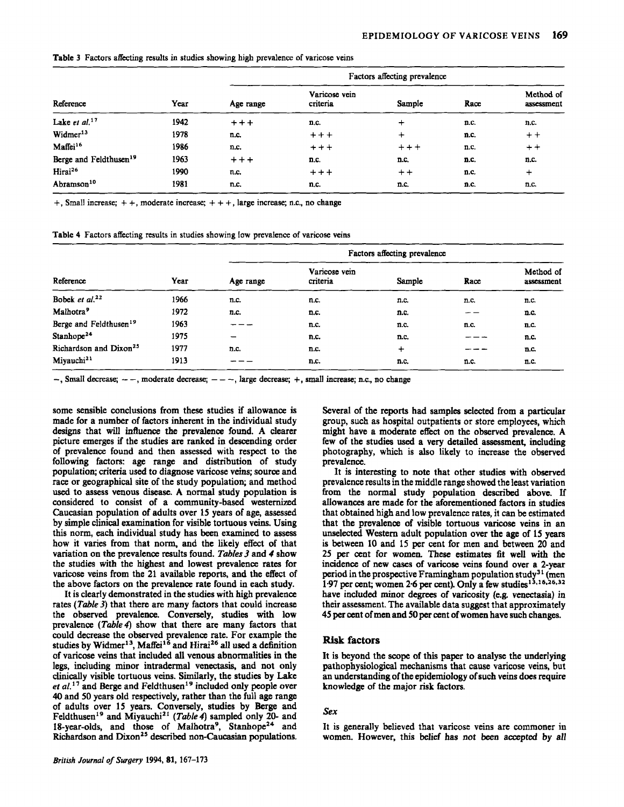# Table 3 **Factors** affecting results in studies showing high prevalence of varicose veins

|                                    |      | Factors affecting prevalence |                           |         |      |                         |  |  |
|------------------------------------|------|------------------------------|---------------------------|---------|------|-------------------------|--|--|
| Reference                          | Year | Age range                    | Varicose vein<br>criteria | Sample  | Race | Method of<br>assessment |  |  |
| Lake et al. <sup>17</sup>          | 1942 | $+ + +$                      | n.c.                      | $\div$  | n.c. | n.c.                    |  |  |
| Widmer <sup>13</sup>               | 1978 | n.c.                         | $+ + +$                   | $\div$  | n.c. | $+ +$                   |  |  |
| Maffei <sup>16</sup>               | 1986 | n.c.                         | $***$                     | $+ + +$ | n.c. | $++$                    |  |  |
| Berge and Feldthusen <sup>19</sup> | 1963 | $+++$                        | n.c.                      | n.c.    | n.c. | n.c.                    |  |  |
| Hirai <sup>26</sup>                | 1990 | n.c.                         | $+ + +$                   | $+ +$   | n.c. | $\ddot{}$               |  |  |
| Abramson <sup>10</sup>             | 1981 | n.c.                         | n.c.                      | n.c.    | n.c. | n.c.                    |  |  |

+ , Small increase; + + , moderate increase; + + + , large increase; n.c., **no** change

| Table 4 Factors affecting results in studies showing low prevalence of varicose veins |  |  |  |  |
|---------------------------------------------------------------------------------------|--|--|--|--|
|                                                                                       |  |  |  |  |

|                                    |      | Factors affecting prevalence |                           |           |      |                         |  |  |
|------------------------------------|------|------------------------------|---------------------------|-----------|------|-------------------------|--|--|
| Reference                          | Year | Age range                    | Varicose vein<br>criteria | Sample    | Race | Method of<br>assessment |  |  |
| Bobek et $al^{22}$                 | 1966 | n.c.                         | n.c.                      | n.c.      | n.c. | n.c.                    |  |  |
| Malhotra <sup>9</sup>              | 1972 | n.c.                         | n.c.                      | n.c.      |      | n.c.                    |  |  |
| Berge and Feldthusen <sup>19</sup> | 1963 |                              | n.c.                      | n.c.      | n.c. | n.c.                    |  |  |
| Stanhope <sup>24</sup>             | 1975 | –                            | n.c.                      | n.c.      |      | n.c.                    |  |  |
| Richardson and Dixon <sup>25</sup> | 1977 | n.c.                         | n.c.                      | $\ddot{}$ |      | n.c.                    |  |  |
| Miyauchi <sup>21</sup>             | 1913 |                              | n.c.                      | n.c.      | n.c. | n.c.                    |  |  |

- , Small decrease; - - , moderate decrease; - - -, large decrease; + , small **increase;** n.c., **no** change

some sensible conclusions from these studies if allowance is made for a number of factors inherent in the individual study designs that will influence the prevalence found. A clearer picture emerges if the studies are ranked in descending order of prevalence found and then assessed with respect to the following factors: age range and distribution of study population; criteria **used** to diagnose varicose veins; source and race or geographical site of the study population; and method used to **assess** venous **disease.** A normal study population is considered to consist of a community-based westernized Caucasian population of adults over **15** years of age, assessed by simple clinical examination for visible tortuous veins. Using this norm, each individual study has been examined to **assess**  how it varies from that norm, and the likely effect of that variation on the prevalence results found. *Tables* 3 and *4* show the studies with the highest and lowest prevalence rates for varicose veins from the **21** available reports, and the effect of the above factors on the prevalence rate found in each study.

It is clearly demonstrated in the studies with high prevalence rates *(Table3)* that there are many factors that could increase the observed prevalence. Conversely, studies with low prevalence *(Table 4)* show that there are many factors that could decrease the observed prevalence rate. For example the studies by Widmer<sup>13</sup>, Maffei<sup>16</sup> and Hirai<sup>26</sup> all used a definition of varicose veins that included all venous abnormalities in the legs, including minor intradermal venectasis. and not only et al.<sup>17</sup> and Berge and Feldthusen<sup>19</sup> included only people over et al.<sup>17</sup> and Berge and Feldthusen<sup>19</sup> included only people over **40** and **50** years old respectively, rather than the full age range of adults over 15 years. Conversely, studies by Berge and Feldthusen<sup>19</sup> and Miyauchi<sup>21</sup> (Table 4) sampled only 20- and 18-year-olds, and those of Malhotra<sup>9</sup>, Stanhope<sup>24</sup> and Richardson and Dixon<sup>25</sup> described non-Caucasian populations.

*Britirh Journal of Surgery* **1994, 81, 167-173** 

Several of the reports had samples **selected** from a particular group, such as hospital outpatients or store employees, which might have a moderate effect on the observed prevalence. A few of the studies used a very detailed assessment, including photography, which is also likely to increase the observed prevalence.

It **is** interesting to note that other studies with observed prevalence results in the middle range showed the least variation from the normal study population described above. If allowances are made for the aforementioned factors in studies that obtained high and low prevalence rates, it can be estimated that the prevalence of visible tortuous varicose veins in **an**  unselected Western adult population over the age of **15** years is between **10** and **15** per cent for men and between **20** and **25** per cent for women. *These* estimates fit well with the incidence of new **cases** of varicose veins found over a 2-year period in the prospective Framingham population study<sup>31</sup> (men 1.97 per cent; women 2.6 per cent). Only a few studies<sup>13,16,26,32</sup> have included minor degrees of varicosity (e.g. venectasia) in their assessment. The available data suggest that approximately **45** per cent of men and **50** per cent of women have **such** changes.

## **Risk factors**

It is beyond the scope of this paper to analyse the underlying pathophysiological mechanisms that cause varicose veins, but an understanding of the epidemiology of such veins does require knowledge of the major risk factors.

#### *Sex*

It *is* generally believed that varicose veins are commoner in women. However, this belief has not been accepted **by** all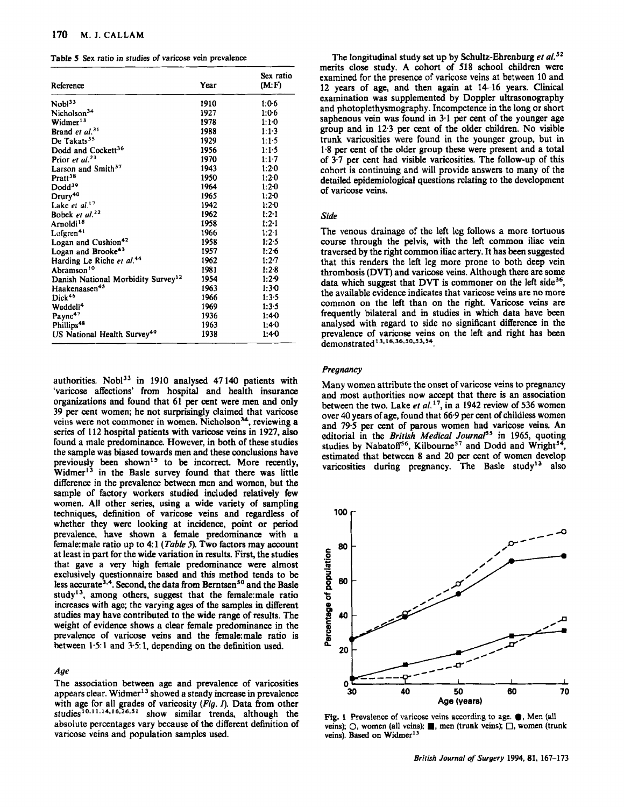# **170 M. J. CALLAM**

**Table 5 Sex ratio in studies of varicose veh prevalence** 

|                                                |      | Sex ratio |
|------------------------------------------------|------|-----------|
| Reference                                      | Year | (M: F)    |
| Nobl <sup>33</sup>                             | 1910 | 1:0-6     |
| Nicholson <sup>34</sup>                        | 1927 | 1:0.6     |
| Widmer <sup>13</sup>                           | 1978 | $1:1-0$   |
| Brand et al. <sup>31</sup>                     | 1988 | 1:1.3     |
| De Takats <sup>35</sup>                        | 1929 | 1:1.5     |
| Dodd and Cockett <sup>36</sup>                 | 1956 | 1:1.5     |
| Prior et $al.^{23}$                            | 1970 | $1:1-7$   |
| Larson and Smith <sup>37</sup>                 | 1943 | 1:20      |
| Pratt <sup>38</sup>                            | 1950 | 1:20      |
| Dodd <sup>39</sup>                             | 1964 | $1:2-0$   |
| Drury <sup>40</sup>                            | 1965 | 1:20      |
| Lake et al. <sup>17</sup>                      | 1942 | 1:20      |
| Bobek et al. <sup>22</sup>                     | 1962 | $1:2-1$   |
| Arnoldi <sup>18</sup>                          | 1958 | $1:2-1$   |
| Lofgren <sup>41</sup>                          | 1966 | 1:2.1     |
| Logan and Cushion <sup>42</sup>                | 1958 | 1:2.5     |
| Logan and Brooke <sup>43</sup>                 | 1957 | 1:2.6     |
| Harding Le Riche et al. <sup>44</sup>          | 1962 | 1:2.7     |
| Abramson <sup>10</sup>                         | 1981 | 1:2.8     |
| Danish National Morbidity Survey <sup>12</sup> | 1954 | 1:2.9     |
| Haakenaasen <sup>45</sup>                      | 1963 | $1:3-0$   |
| Dick <sup>46</sup>                             | 1966 | 1:3.5     |
| Weddell <sup>4</sup>                           | 1969 | 1:3.5     |
| Payne <sup>47</sup>                            | 1936 | 1:40      |
| Phillips <sup>48</sup>                         | 1963 | 1:40      |
| US National Health Survey <sup>49</sup>        | 1938 | $1:4-0$   |

authorities. Nobl<sup>33</sup> in 1910 analysed 47 140 patients with 'varicose affections' from hospital and health insurance organizations and found that **61 per** cent were men and only **39 per** cent women; he not surprisingly claimed that varicose veins were not commoner in women. Nicholson<sup>34</sup>, reviewing a series of **112** hospital patients with varicose veins in **1927, also**  found a male predominance. However, in both of these studies the sample was biased towards men and these conclusions have previously been shown<sup>15</sup> to be incorrect. More recently, Widmer<sup>13</sup> in the Basle survey found that there was little difference in the prevalence between men and women, but the sample of factory workers studied included relatively few women. All other series, using a wide variety of sampling techniques, definition of varicose veins and regardless of whether they were looking at incidence, point or period prevalence, have shown a female predominance with a female:male ratio up to **4 1** (Table **5).** Two factors may account at least in part for the wide variation in results. First, the studies that gave a very high female predominance were almost exclusively questionnaire based and this method tends to be less accurate<sup>3,4</sup>. Second, the data from Berntsen<sup>50</sup> and the Basle study<sup>13</sup>, among others, suggest that the female: male ratio increases with age; the varying ages of the samples in different studies may have contributed to the wide range of results. The weight of evidence shows a clear female predominance in the prevalence of varicose veins and the fema1e:male ratio is between 1.5:1 and 3.5:1, depending on the definition used.

## *Aye*

The association between age and prevalence of varicosities appears clear. Widmer<sup>13</sup> showed a steady increase in prevalence with age for all grades of varicosity  $(Fig. I)$ . Data from other studies 10.1 1.14.1 **6.26.51** show similar trends, although the absolutc percentages vary because of the different definition of varicose veins and population samples **used.** 

The longitudinal study set up by Schultz-Ehrenburg *et al?*  merits close study. **A** cohort of **518** school children were examined for the presence of varicose veins at between 10 and **12** years of age, and then again at **14-16** years. Clinical examination was supplemented by Doppler ultrasonography and photoplethysmography. Incompetence in the long or short saphenous vein **was** found in **3-1 per** cent of the younger age group and in **12.3** per cent of the older children. No visible trunk varicosities were found in the younger group, but in **1.8** per cent of the older group these were present and a total of **3.7 per** cent had visible varicosities. The follow-up of this cohort is continuing and will provide answers to many of the detailed epidemiological questions relating to the development of varicose veins.

## *Side*

The venous drainage of the left leg follows a more tortuous course through the pelvis, with the left common iliac vein traversed by the right common iliac artery. It has been suggested that this renders the left leg more prone to both deep vein thrombosis (DVT) and varicose veins. Although there are some data which suggest that DVT is commoner on the left side<sup>36</sup>, the available evidence indicates that varicose veins are no more common on the left than on the right. Varicose veins are frequently bilateral and in studies in which data have been analysed with regard to side no significant difference in the prevalence of varicose veins on the left and right has been demonstrated <sup>13,16,36,50,53,54</sup>.

#### *Pregnancy*

Many women attribute the onset of varicose veins to pregnancy and most authorities now accept that there is an association between the two. Lake *et al.",* in a **1942** review of **536** women over **40** years of age, found that **66.9** per cent of childless women and **795** per cent of parous women had varicose veins. *An*  editorial in the British Medical Journal<sup>55</sup> in 1965, quoting studies by Nabatoff<sup>56</sup>, Kilbourne<sup>57</sup> and Dodd and Wright<sup>54</sup> estimated that between **8** and 20 **per** cent of women develop varicosities during pregnancy. The Basle study<sup>13</sup> also



**Fig. 1 Prevalence** of **varicose veins according** to **age. e,** Men **(all**  veins). Based on Widmer<sup>13</sup>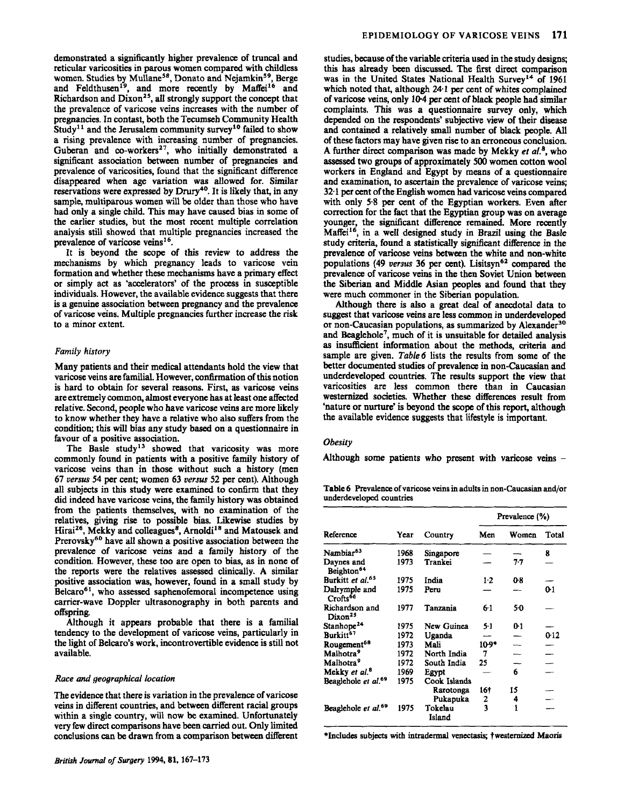demonstrated a significantly higher prevalence of truncal and reticular varicosities in parous women compared with childless women. Studies by Mullane<sup>58</sup>, Donato and Nejamkin<sup>59</sup>, Berge and Feldthusen<sup>19</sup>, and more recently by Maffei<sup>16</sup> and Richardson and  $Dixon<sup>25</sup>$ , all strongly support the concept that the prevalence of varicose veins increases with the number of pregnancies. In contast, both the Tecumseh Community **Health**  Study<sup>11</sup> and the Jerusalem community survey<sup>10</sup> failed to show a rising prevalence with increasing number of pregnancies. Guberan and  $co$ -workers<sup>27</sup>, who initially demonstrated a significant association between number of pregnancies and prevalence of varicosities, found that the significant difference disappeared when age variation **was** allowed for. Similar reservations were expressed by Drury<sup>40</sup>. It is likely that, in any sample, multiparous women will be older than those who have had only a single child. This may have caused bias in some of the earlier studies, but the most recent multiple correlation analysis still showed that multiple pregnancies increased the prevalence of varicose veins<sup>16</sup>.

It is beyond the **scope** of this review to address the mechanisms by which pregnancy leads to varicose vein formation and whether these mechanisms have a primary effect or simply act **as** 'accelerators' of the process in susceptible individuals. However, the available evidence suggests that there is a genuine association between pregnancy and the prevalence of varicose veins. Multiple pregnancies further increase the risk to a minor extent.

### *Family history*

Many patients and their medical attendants hold the view that varicose veins are familial. However, confirmation of this notion is hard to obtain for several reasons. First, **as** varicose veins are extremely common, almost everyone has at least one affected relative. Second, people who have varicose veins are more likely to know whether they have a relative who also suffers from the condition; this will bias any study based on a questionnaire in favour of a positive association.

The Basle study<sup>13</sup> showed that varicosity was more commonly found in patients with a positive family history of varicose veins than in those without such a history (men *67 versus* **54** per cent; women **63** versus **52** per cent). Although all subjects in this study were examined to confirm that they did indeed have varicose veins, the family history was obtained from the patients themselves, with no examination of the relatives, giving rise to possible bias. **Likewise** studies by Hirai<sup>26</sup>, Mekky and colleagues<sup>8</sup>, Arnoldi<sup>18</sup> and Matousek and Prerovsky<sup>60</sup> have all shown a positive association between the prevalence of varicose veins and a family history of the condition. However, these too are open to bias, as in none of the reports were the relatives **assessed** clinically. A similar positive association was, however, found in a small study by Belcaro<sup>61</sup>, who assessed saphenofemoral incompetence using carrier-wave Doppler ultrasonography in both parents and offspring.

Although it appears probable that there is a familial tendency to the development of varicose veins, particularly in the light of Belcaro's work, incontrovertible evidence is **still** not available.

#### *Race and geographical location*

The evidence that there is variation in the prevalence of varicose veins in different countries, and between different racial **groups**  within a single country, will now be examined. Unfortunately very few **direct** comparisons have been carried **out.** Only limited conclusions can be drawn from a comparison between different

studies, **because** of the variable criteria used in the study designs; this has already been **discussed.** The first direct comparison was in the United States National Health Survey14 of **1961**  which noted that, although **24.1** per cent of whites complained of varicose veins, only **1Q4 per** cent of black people had similar complaints. This was a questionnaire survey only, which depended on the respondents' subjective view of their disease and contained a relatively small number of black people. All of these factors may have given rise to an erroneous conclusion. A further direct comparison was made by Mekky *et al.',* who assessed two groups of approximately *500* women cotton wool workers in England and Egypt by means of a questionnaire and examination, to ascertain the prevalence of varicose veins; **32.1** per cent of the English women had varicose veins compared with only **5.8 per** cent of the Egyptian workers. Even after correction for the fact that the Egyptian group was on average younger, the significant difference remained. More recently Maffei<sup>16</sup>, in a well designed study in Brazil using the Basle study criteria, found a statistically sigmficant difference in the prevalence of varicose veins between the white and non-white populations (49 *versus* 36 per cent). Lisitsyn<sup>62</sup> compared the prevalence of varicose veins in the then Soviet Union between the Siberian and Middle **Asian** peoples and found that they were much commoner in the Siberian population.

Although there is also a great deal of anecdotal data to suggest that varicose veins are less common in underdeveloped or non-Caucasian populations, as summarized by Alexander<sup>30</sup> and Beaglehole', much of it is unsuitable for **detailed** analysis **as** insufficient information about the methods, criteria and sample are given. *Table6* lists the results from some of the better documented studies of prevalence in non-Caucasian and underdeveloped countries. The **results** support the view that varicosities are less common there than in Caucasian westernized societies. Whether these differences result from 'nature or nurture' is beyond the **scope** of this report, although the available evidence suggests that lifestyle is important.

## *Obesity*

Although some patients who present with varicose veins -

**Table 6 Prevalence of varicose veins in adults in non-Caucasian and/or underdeveloped countries** 

|                                       |      |                   | Prevalence (%) |         |       |  |
|---------------------------------------|------|-------------------|----------------|---------|-------|--|
| Reference                             | Year | Country           | Men            | Women   | Total |  |
| Nambiar <sup>63</sup>                 | 1968 | Singapore         |                |         | 8     |  |
| Daynes and<br>Beighton <sup>64</sup>  | 1973 | Trankei           |                | $7 - 7$ |       |  |
| Burkitt <i>et al</i> . <sup>65</sup>  | 1975 | India             | $1-2$          | 08      |       |  |
| Dalrymple and<br>Crofts <sup>66</sup> | 1975 | Peru              |                |         | 0-1   |  |
| Richardson and<br>Dixon <sup>25</sup> | 1977 | Tanzania          | 61             | 50      |       |  |
| Stanhope <sup>24</sup>                | 1975 | New Guinea        | $5-1$          | $0-1$   |       |  |
| Burkitt <sup>67</sup>                 | 1972 | Uganda            |                |         | 0.12  |  |
| Rougement <sup>68</sup>               | 1973 | Mali              | $10.9*$        |         |       |  |
| Malhotra <sup>9</sup>                 | 1972 | North India       | 7              |         |       |  |
| Malhotra <sup>9</sup>                 | 1972 | South India       | 25             |         |       |  |
| Mekky et al. <sup>8</sup>             | 1969 | Egypt             |                | 6       |       |  |
| Beaglehole et al. <sup>69</sup>       | 1975 | Cook Islands      |                |         |       |  |
|                                       |      | Rarotonga         | 16†            | 15      |       |  |
|                                       |      | Pukapuka          | $\frac{2}{3}$  | 4       |       |  |
| Beaglehole et al. <sup>69</sup>       | 1975 | Tokelau<br>Island |                | 1       |       |  |

\*Includes subjects with intradermal venectasis; †westernized Maoris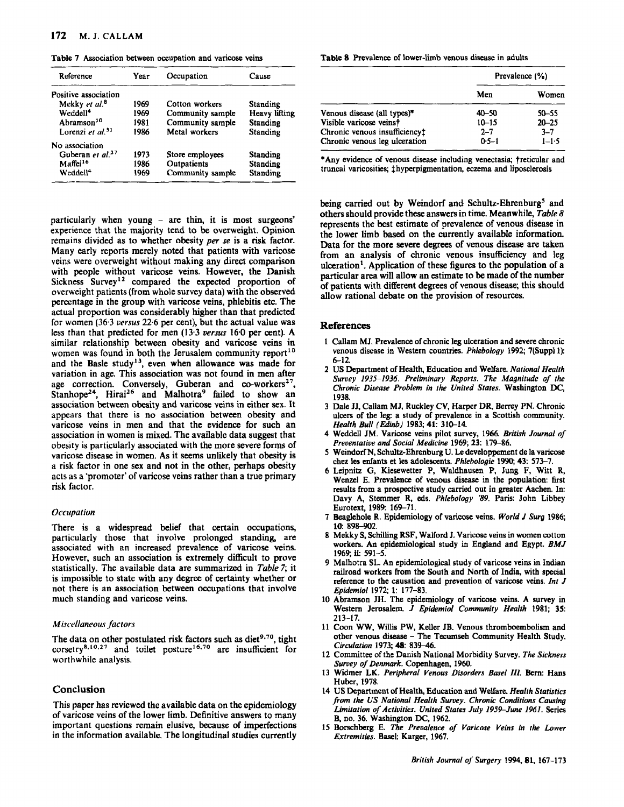Table **7** Association between occupation and varicose veins

| Reference                    | Үеаг | Occupation       | Cause                |
|------------------------------|------|------------------|----------------------|
| Positive association         |      |                  |                      |
| Mekky et al. <sup>8</sup>    | 1969 | Cotton workers   | Standing             |
| Weddell <sup>4</sup>         | 1969 | Community sample | <b>Heavy lifting</b> |
| Abramson <sup>10</sup>       | 1981 | Community sample | <b>Standing</b>      |
| Lorenzi et al. <sup>51</sup> | 1986 | Metal workers    | Standing             |
| No association               |      |                  |                      |
| Guberan et al. <sup>27</sup> | 1973 | Store employees  | Standing             |
| Maffei <sup>16</sup>         | 1986 | Outpatients      | Standing             |
| Weddell <sup>4</sup>         | 1969 | Community sample | <b>Standing</b>      |

particularly when young  $-$  are thin, it is most surgeons' experience that the majority tend to be overweight. Opinion remains divided **as** to whether obesity *per* **se** is a **risk** factor. Many early reports merely noted that patients with varicose veins were overweight without making any direct comparison with people without varicose veins. However, the Danish Sickness Survey<sup>12</sup> compared the expected proportion of overweight patients (from whole survey data) with the observed percentage in the group with varicose veins, phlebitis etc. The actual proportion was considerably higher than that predicted for women (36.3 *uersus* 22.6 per cent), but the actual value was less than that predicted for men (13.3 *uersus 160* per cent). A similar relationship between obesity and varicose veins in women was found in both the Jerusalem community report<sup>10</sup> and the Basle study<sup>13</sup>, even when allowance was made for variation in age. This association was not found in men after age correction. Conversely, Guberan and co-workers<sup>27</sup>, Stanhope<sup>24</sup>, Hirai<sup>26</sup> and Malhotra<sup>9</sup> failed to show an association between obesity and varicose veins in either **sex.** It appears that there is no association between obesity and varicose veins in men and that the evidence for such an association in women is mixed. The available data suggest that obesity is particularly associated with the more severe forms of varicose disease in women. As it seems unlikely that obesity is a risk factor in one sex and not in the other, perhaps obesity acts as a 'promoter' of varicose veins rather than a true primary **risk** factor.

#### *Orcirpution*

There is a widespread belief that certain occupations, particularly those that involve prolonged standing. are associated with an increased prevalence of varicose veins. However, such an association is extremely difficult to prove statistically. The available data are summarized in Table 7; it is impossible to state with any degree of certainty whether or not there is an association between occupations that involve much standing and varicose veins.

## *Misc~rdluticous ,factors*

The data on other postulated risk factors such as diet<sup>9,70</sup>, tight corsetry<sup>8,10,27</sup> and toilet posture<sup>16,70</sup> are insufficient for worthwhile analysis.

# **Conclusion**

This paper has reviewed the available data on the epidemiology of varicose veins of the lower limb. Definitive answers to many important questions remain elusive, **because** of imperfections in the information available. The longitudinal studies currently

#### Table **8** Prevalence of lower-limb venous disease in adults

|                                           | Prevalence (%) |           |  |
|-------------------------------------------|----------------|-----------|--|
|                                           | Men            | Women     |  |
| Venous disease (all types)*               | $40 - 50$      | $50 - 55$ |  |
| Visible varicose veinst                   | $10 - 15$      | $20 - 25$ |  |
| Chronic venous insufficiency <sup>+</sup> | $2 - 7$        | $3 - 7$   |  |
| Chronic venous leg ulceration             | $0.5 - 1$      | $1 - 1.5$ |  |

\*Any evidence of venous disease including venectasia; treticular and truncal varicosities; thyperpigmentation, eczema and liposclerosis

being carried out by Weindorf and Schultz-Ehrenburg<sup>5</sup> and others should provide these answers in time. Meanwhile, Table 8 represents the best estimate of prevalence of venous disease in the lower limb based on the currently available information. Data for the more severe degrees of venous disease are taken from an analysis of chronic venous insufficiency and leg ulceration'. Application of these figures to the population of a particular area will allow an estimate to be made of the number of patients with different degrees of venous disease; this should allow rational debate on the provision of resources.

## **References**

- 1 Callam MJ. Prevalence of chronic leg ulceration and severe chronic venous disease in Western countries. *Phlebology* 1992; 7(Suppl 1): 6-12.
- 2 **US** Department of Health, Education and Welfare. *National Health Survey 1935-1936. Preliminary Reports. The Magnitude of the Chronic Disease Problem in the United States.* Washington **DC,**  1938.
- 3 Dale JJ, Callam MJ, Ruckley CV, Harper DR, Berrey PN. Chronic ulcers of the leg: **a** study of prevalence in a Scottish community. *Healih* Bull *(Edinb)* 1983; **41:** 310-14.
- **4** Weddell JM. Varicose veins pilot survey, 1966. *British Journal of Preventative and Social Medicine* 1969; **23** 179-86.
- 5 Weindorf N, Schultz-Ehrenburg U. **Le** developpement de la varicose chez **les** enfants et les adolescents. *Phlebologie* **1990; 43** 573-7.
- 6 Leipnitz G, Kiesewetter P, Waldhausen P, Jung F, Witt R, Wenzel E. Prevalence of venous disease in the population: first results from a prospective study carried out in greater Aachen. **In:**  Davy A, Stemmer R, eds. *Phlebology '89.* Paris: John Libbey Eurotext, 1989: 169-71.
- **<sup>7</sup>**Beaglehole **R.** Epidemiology of varicose veins. *World* J *Surg* 1986; **10** 898-902.
- 8 Mekky **S,** Schilling RSF, Walford J. Varicose veins in women cotton workers. *An* epidemiological study in England and Egypt. *BMJ*  196% **ii:** 591-5.
- 9 Malhotra SL. An epidemiological study of varicose veins in Indian railroad workers from the South and **North** of India, with special reference to the causation and prevention of varicose veins. *Int J Epidemiol* 1972; **1:** 177-83.
- 10 Abramson JH. The epidemiology of varicose veins. **A** survey in Western Jerusalem. *J Epidemiol Community Health* 1981; *35:*  213-17.
- 11 Coon WW, Willis PW, Keller JB. Venous thromboembolism and other venous **disease** - The **Tecumseh** Community Health Study. *Circulation* 1973; **48:** 83946.
- 12 Committee of the Danish National Morbidity Survey. *The Sickness Suruey of Denmark.* Copenhagen, 1960.
- *<sup>3</sup>*Widmer LK. *Peripheral Venous Disorders Basel HI,* Bern: Hans Huber, 1978.
- **<sup>4</sup>US** Department of Health, Education and Welfare. *Health Statistics from the US National Health Swvey. Chronic Conditions Causing Limitation of Activities. United States July 19SeJune 1961.* Series B. no. 36. Washington DC, 1962.
- **<sup>5</sup>**Borschberg **E.** *The Prevalence of Varicose Veins in the Lower Extremities.* Basel: Karger, 1967.